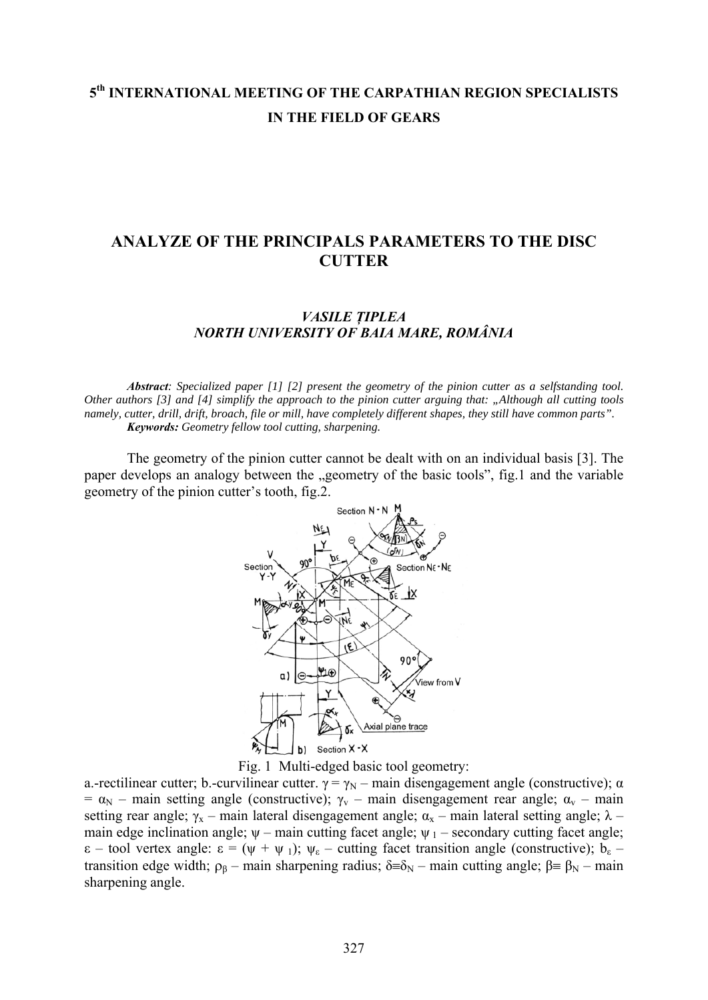# **5th INTERNATIONAL MEETING OF THE CARPATHIAN REGION SPECIALISTS IN THE FIELD OF GEARS**

## **ANALYZE OF THE PRINCIPALS PARAMETERS TO THE DISC CUTTER**

### *VASILE ŢIPLEA NORTH UNIVERSITY OF BAIA MARE, ROMÂNIA*

*Abstract: Specialized paper [1] [2] present the geometry of the pinion cutter as a selfstanding tool. Other authors [3] and [4] simplify the approach to the pinion cutter arguing that: "Although all cutting tools namely, cutter, drill, drift, broach, file or mill, have completely different shapes, they still have common parts". Keywords: Geometry fellow tool cutting, sharpening.* 

The geometry of the pinion cutter cannot be dealt with on an individual basis [3]. The paper develops an analogy between the "geometry of the basic tools", fig.1 and the variable geometry of the pinion cutter's tooth, fig.2.



Fig. 1 Multi-edged basic tool geometry:

a.-rectilinear cutter; b.-curvilinear cutter.  $\gamma = \gamma_N$  – main disengagement angle (constructive);  $\alpha$ =  $\alpha_N$  – main setting angle (constructive);  $\gamma_V$  – main disengagement rear angle;  $\alpha_V$  – main setting rear angle;  $\gamma_x$  – main lateral disengagement angle;  $\alpha_x$  – main lateral setting angle;  $\lambda$  – main edge inclination angle;  $\psi$  – main cutting facet angle;  $\psi$ <sub>1</sub> – secondary cutting facet angle;  $\varepsilon$  – tool vertex angle:  $\varepsilon = (\psi + \psi_1); \psi_{\varepsilon}$  – cutting facet transition angle (constructive);  $b_{\varepsilon}$  – transition edge width;  $ρ_β$  – main sharpening radius; δ≡δ<sub>N</sub> – main cutting angle;  $β$  ≡  $β_N$  – main sharpening angle.